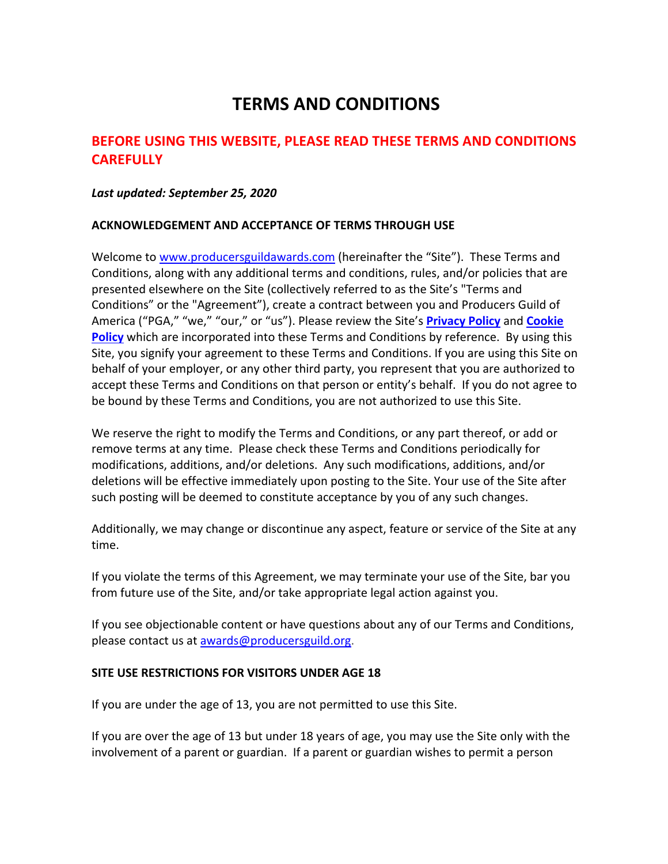# **TERMS AND CONDITIONS**

## **BEFORE USING THIS WEBSITE, PLEASE READ THESE TERMS AND CONDITIONS CAREFULLY**

#### *Last updated: September 25, 2020*

#### **ACKNOWLEDGEMENT AND ACCEPTANCE OF TERMS THROUGH USE**

Welcome to www.producersguildawards.com (hereinafter the "Site"). These Terms and Conditions, along with any additional terms and conditions, rules, and/or policies that are presented elsewhere on the Site (collectively referred to as the Site's "Terms and Conditions" or the "Agreement"), create a contract between you and Producers Guild of America ("PGA," "we," "our," or "us"). Please review the Site's **Privacy Policy** and **Cookie Policy** which are incorporated into these Terms and Conditions by reference. By using this Site, you signify your agreement to these Terms and Conditions. If you are using this Site on behalf of your employer, or any other third party, you represent that you are authorized to accept these Terms and Conditions on that person or entity's behalf. If you do not agree to be bound by these Terms and Conditions, you are not authorized to use this Site.

We reserve the right to modify the Terms and Conditions, or any part thereof, or add or remove terms at any time. Please check these Terms and Conditions periodically for modifications, additions, and/or deletions. Any such modifications, additions, and/or deletions will be effective immediately upon posting to the Site. Your use of the Site after such posting will be deemed to constitute acceptance by you of any such changes.

Additionally, we may change or discontinue any aspect, feature or service of the Site at any time.

If you violate the terms of this Agreement, we may terminate your use of the Site, bar you from future use of the Site, and/or take appropriate legal action against you.

If you see objectionable content or have questions about any of our Terms and Conditions, please contact us at awards@producersguild.org.

#### **SITE USE RESTRICTIONS FOR VISITORS UNDER AGE 18**

If you are under the age of 13, you are not permitted to use this Site.

If you are over the age of 13 but under 18 years of age, you may use the Site only with the involvement of a parent or guardian. If a parent or guardian wishes to permit a person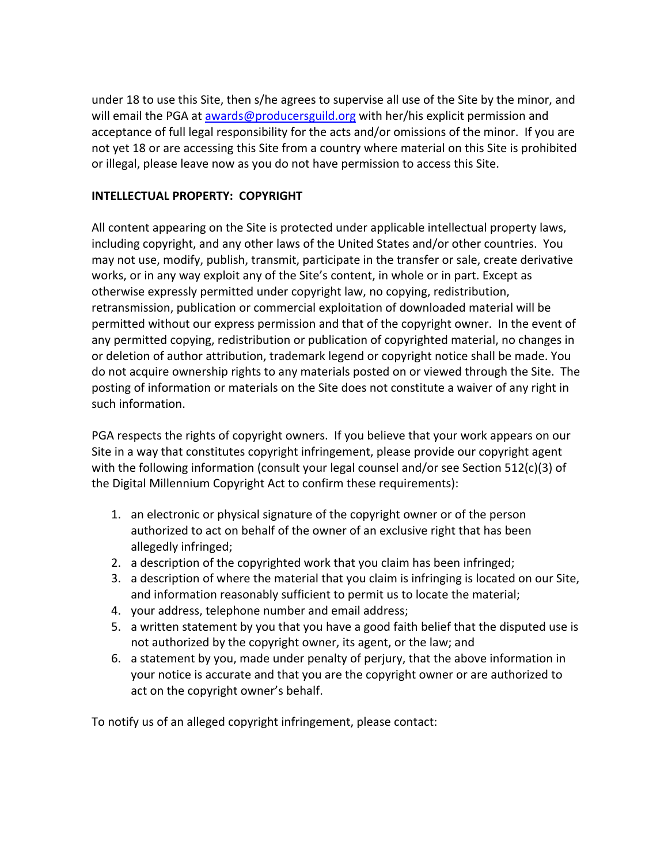under 18 to use this Site, then s/he agrees to supervise all use of the Site by the minor, and will email the PGA at awards@producersguild.org with her/his explicit permission and acceptance of full legal responsibility for the acts and/or omissions of the minor. If you are not yet 18 or are accessing this Site from a country where material on this Site is prohibited or illegal, please leave now as you do not have permission to access this Site.

## **INTELLECTUAL PROPERTY: COPYRIGHT**

All content appearing on the Site is protected under applicable intellectual property laws, including copyright, and any other laws of the United States and/or other countries. You may not use, modify, publish, transmit, participate in the transfer or sale, create derivative works, or in any way exploit any of the Site's content, in whole or in part. Except as otherwise expressly permitted under copyright law, no copying, redistribution, retransmission, publication or commercial exploitation of downloaded material will be permitted without our express permission and that of the copyright owner. In the event of any permitted copying, redistribution or publication of copyrighted material, no changes in or deletion of author attribution, trademark legend or copyright notice shall be made. You do not acquire ownership rights to any materials posted on or viewed through the Site. The posting of information or materials on the Site does not constitute a waiver of any right in such information.

PGA respects the rights of copyright owners. If you believe that your work appears on our Site in a way that constitutes copyright infringement, please provide our copyright agent with the following information (consult your legal counsel and/or see Section 512(c)(3) of the Digital Millennium Copyright Act to confirm these requirements):

- 1. an electronic or physical signature of the copyright owner or of the person authorized to act on behalf of the owner of an exclusive right that has been allegedly infringed;
- 2. a description of the copyrighted work that you claim has been infringed;
- 3. a description of where the material that you claim is infringing is located on our Site, and information reasonably sufficient to permit us to locate the material;
- 4. your address, telephone number and email address;
- 5. a written statement by you that you have a good faith belief that the disputed use is not authorized by the copyright owner, its agent, or the law; and
- 6. a statement by you, made under penalty of perjury, that the above information in your notice is accurate and that you are the copyright owner or are authorized to act on the copyright owner's behalf.

To notify us of an alleged copyright infringement, please contact: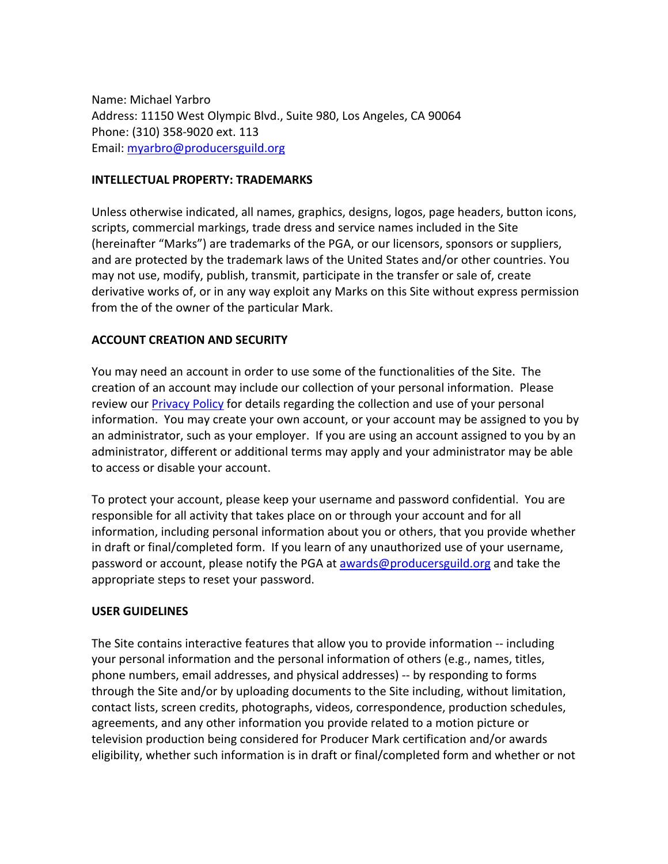Name: Michael Yarbro Address: 11150 West Olympic Blvd., Suite 980, Los Angeles, CA 90064 Phone: (310) 358-9020 ext. 113 Email: myarbro@producersguild.org

#### **INTELLECTUAL PROPERTY: TRADEMARKS**

Unless otherwise indicated, all names, graphics, designs, logos, page headers, button icons, scripts, commercial markings, trade dress and service names included in the Site (hereinafter "Marks") are trademarks of the PGA, or our licensors, sponsors or suppliers, and are protected by the trademark laws of the United States and/or other countries. You may not use, modify, publish, transmit, participate in the transfer or sale of, create derivative works of, or in any way exploit any Marks on this Site without express permission from the of the owner of the particular Mark.

#### **ACCOUNT CREATION AND SECURITY**

You may need an account in order to use some of the functionalities of the Site. The creation of an account may include our collection of your personal information. Please review our Privacy Policy for details regarding the collection and use of your personal information. You may create your own account, or your account may be assigned to you by an administrator, such as your employer. If you are using an account assigned to you by an administrator, different or additional terms may apply and your administrator may be able to access or disable your account.

To protect your account, please keep your username and password confidential. You are responsible for all activity that takes place on or through your account and for all information, including personal information about you or others, that you provide whether in draft or final/completed form. If you learn of any unauthorized use of your username, password or account, please notify the PGA at awards@producersguild.org and take the appropriate steps to reset your password.

#### **USER GUIDELINES**

The Site contains interactive features that allow you to provide information -- including your personal information and the personal information of others (e.g., names, titles, phone numbers, email addresses, and physical addresses) -- by responding to forms through the Site and/or by uploading documents to the Site including, without limitation, contact lists, screen credits, photographs, videos, correspondence, production schedules, agreements, and any other information you provide related to a motion picture or television production being considered for Producer Mark certification and/or awards eligibility, whether such information is in draft or final/completed form and whether or not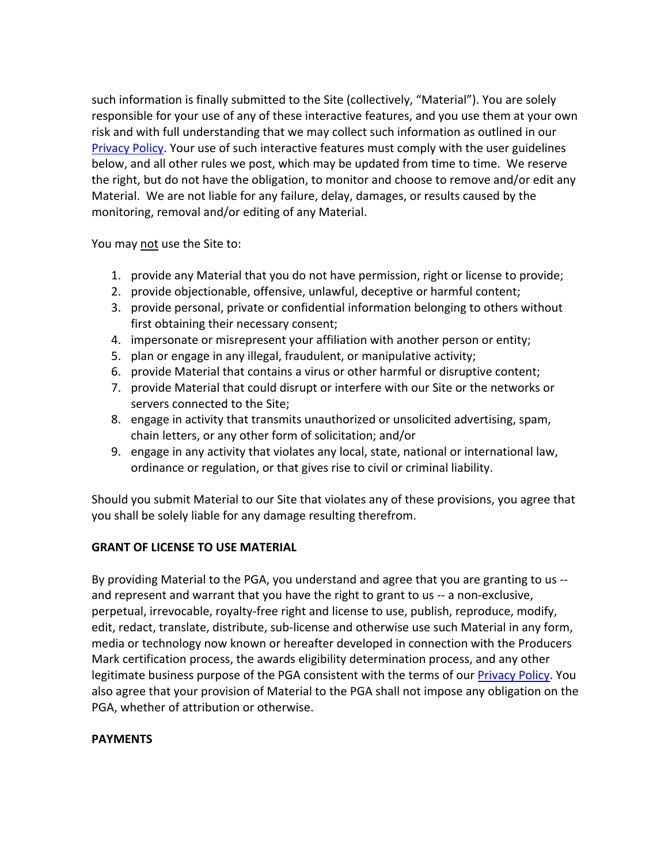such information is finally submitted to the Site (collectively, "Material"). You are solely responsible for your use of any of these interactive features, and you use them at your own risk and with full understanding that we may collect such information as outlined in our Privacy Policy. Your use of such interactive features must comply with the user guidelines below, and all other rules we post, which may be updated from time to time. We reserve the right, but do not have the obligation, to monitor and choose to remove and/or edit any Material. We are not liable for any failure, delay, damages, or results caused by the monitoring, removal and/or editing of any Material.

You may not use the Site to:

- 1. provide any Material that you do not have permission, right or license to provide;
- 2. provide objectionable, offensive, unlawful, deceptive or harmful content;
- 3. provide personal, private or confidential information belonging to others without first obtaining their necessary consent;
- 4. impersonate or misrepresent your affiliation with another person or entity;
- 5. plan or engage in any illegal, fraudulent, or manipulative activity;
- 6. provide Material that contains a virus or other harmful or disruptive content;
- 7. provide Material that could disrupt or interfere with our Site or the networks or servers connected to the Site;
- 8. engage in activity that transmits unauthorized or unsolicited advertising, spam, chain letters, or any other form of solicitation; and/or
- 9. engage in any activity that violates any local, state, national or international law, ordinance or regulation, or that gives rise to civil or criminal liability.

Should you submit Material to our Site that violates any of these provisions, you agree that you shall be solely liable for any damage resulting therefrom.

#### **GRANT OF LICENSE TO USE MATERIAL**

By providing Material to the PGA, you understand and agree that you are granting to us - and represent and warrant that you have the right to grant to us -- a non-exclusive, perpetual, irrevocable, royalty-free right and license to use, publish, reproduce, modify, edit, redact, translate, distribute, sub-license and otherwise use such Material in any form, media or technology now known or hereafter developed in connection with the Producers Mark certification process, the awards eligibility determination process, and any other legitimate business purpose of the PGA consistent with the terms of our Privacy Policy. You also agree that your provision of Material to the PGA shall not impose any obligation on the PGA, whether of attribution or otherwise.

#### **PAYMENTS**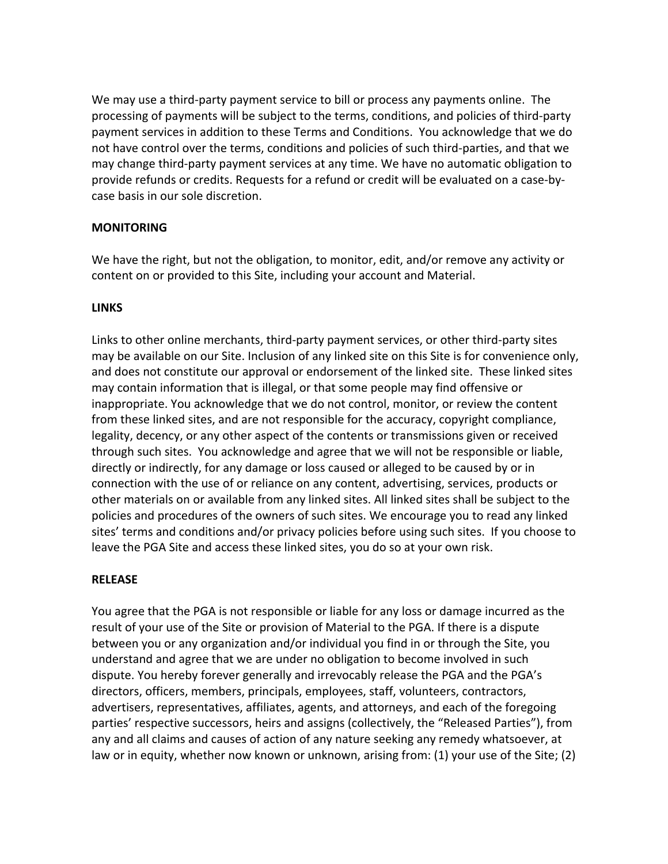We may use a third-party payment service to bill or process any payments online. The processing of payments will be subject to the terms, conditions, and policies of third-party payment services in addition to these Terms and Conditions. You acknowledge that we do not have control over the terms, conditions and policies of such third-parties, and that we may change third-party payment services at any time. We have no automatic obligation to provide refunds or credits. Requests for a refund or credit will be evaluated on a case-bycase basis in our sole discretion.

#### **MONITORING**

We have the right, but not the obligation, to monitor, edit, and/or remove any activity or content on or provided to this Site, including your account and Material.

#### **LINKS**

Links to other online merchants, third-party payment services, or other third-party sites may be available on our Site. Inclusion of any linked site on this Site is for convenience only, and does not constitute our approval or endorsement of the linked site. These linked sites may contain information that is illegal, or that some people may find offensive or inappropriate. You acknowledge that we do not control, monitor, or review the content from these linked sites, and are not responsible for the accuracy, copyright compliance, legality, decency, or any other aspect of the contents or transmissions given or received through such sites. You acknowledge and agree that we will not be responsible or liable, directly or indirectly, for any damage or loss caused or alleged to be caused by or in connection with the use of or reliance on any content, advertising, services, products or other materials on or available from any linked sites. All linked sites shall be subject to the policies and procedures of the owners of such sites. We encourage you to read any linked sites' terms and conditions and/or privacy policies before using such sites. If you choose to leave the PGA Site and access these linked sites, you do so at your own risk.

## **RELEASE**

You agree that the PGA is not responsible or liable for any loss or damage incurred as the result of your use of the Site or provision of Material to the PGA. If there is a dispute between you or any organization and/or individual you find in or through the Site, you understand and agree that we are under no obligation to become involved in such dispute. You hereby forever generally and irrevocably release the PGA and the PGA's directors, officers, members, principals, employees, staff, volunteers, contractors, advertisers, representatives, affiliates, agents, and attorneys, and each of the foregoing parties' respective successors, heirs and assigns (collectively, the "Released Parties"), from any and all claims and causes of action of any nature seeking any remedy whatsoever, at law or in equity, whether now known or unknown, arising from: (1) your use of the Site; (2)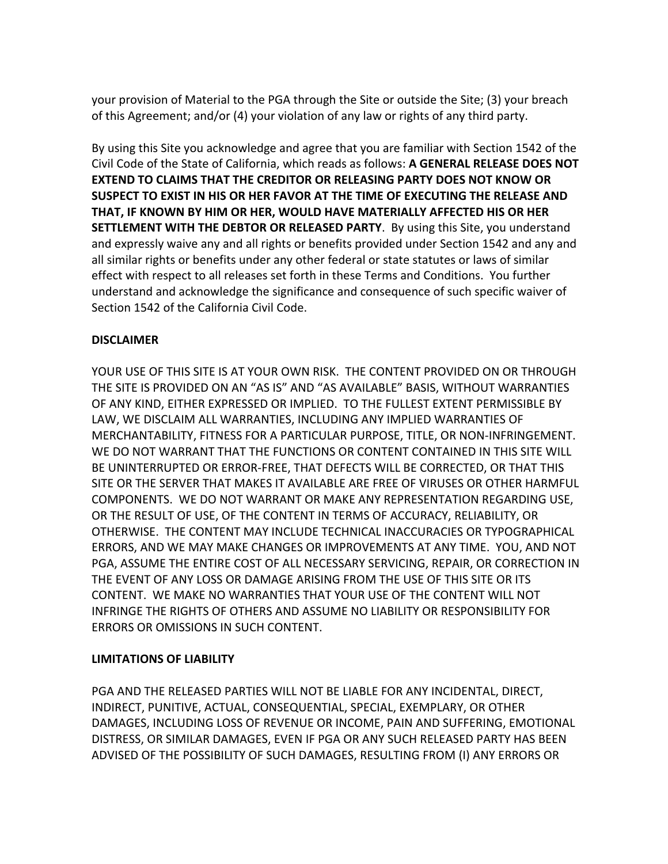your provision of Material to the PGA through the Site or outside the Site; (3) your breach of this Agreement; and/or (4) your violation of any law or rights of any third party.

By using this Site you acknowledge and agree that you are familiar with Section 1542 of the Civil Code of the State of California, which reads as follows: **A GENERAL RELEASE DOES NOT EXTEND TO CLAIMS THAT THE CREDITOR OR RELEASING PARTY DOES NOT KNOW OR SUSPECT TO EXIST IN HIS OR HER FAVOR AT THE TIME OF EXECUTING THE RELEASE AND THAT, IF KNOWN BY HIM OR HER, WOULD HAVE MATERIALLY AFFECTED HIS OR HER SETTLEMENT WITH THE DEBTOR OR RELEASED PARTY**. By using this Site, you understand and expressly waive any and all rights or benefits provided under Section 1542 and any and all similar rights or benefits under any other federal or state statutes or laws of similar effect with respect to all releases set forth in these Terms and Conditions. You further understand and acknowledge the significance and consequence of such specific waiver of Section 1542 of the California Civil Code.

#### **DISCLAIMER**

YOUR USE OF THIS SITE IS AT YOUR OWN RISK. THE CONTENT PROVIDED ON OR THROUGH THE SITE IS PROVIDED ON AN "AS IS" AND "AS AVAILABLE" BASIS, WITHOUT WARRANTIES OF ANY KIND, EITHER EXPRESSED OR IMPLIED. TO THE FULLEST EXTENT PERMISSIBLE BY LAW, WE DISCLAIM ALL WARRANTIES, INCLUDING ANY IMPLIED WARRANTIES OF MERCHANTABILITY, FITNESS FOR A PARTICULAR PURPOSE, TITLE, OR NON-INFRINGEMENT. WE DO NOT WARRANT THAT THE FUNCTIONS OR CONTENT CONTAINED IN THIS SITE WILL BE UNINTERRUPTED OR ERROR-FREE, THAT DEFECTS WILL BE CORRECTED, OR THAT THIS SITE OR THE SERVER THAT MAKES IT AVAILABLE ARE FREE OF VIRUSES OR OTHER HARMFUL COMPONENTS. WE DO NOT WARRANT OR MAKE ANY REPRESENTATION REGARDING USE, OR THE RESULT OF USE, OF THE CONTENT IN TERMS OF ACCURACY, RELIABILITY, OR OTHERWISE. THE CONTENT MAY INCLUDE TECHNICAL INACCURACIES OR TYPOGRAPHICAL ERRORS, AND WE MAY MAKE CHANGES OR IMPROVEMENTS AT ANY TIME. YOU, AND NOT PGA, ASSUME THE ENTIRE COST OF ALL NECESSARY SERVICING, REPAIR, OR CORRECTION IN THE EVENT OF ANY LOSS OR DAMAGE ARISING FROM THE USE OF THIS SITE OR ITS CONTENT. WE MAKE NO WARRANTIES THAT YOUR USE OF THE CONTENT WILL NOT INFRINGE THE RIGHTS OF OTHERS AND ASSUME NO LIABILITY OR RESPONSIBILITY FOR ERRORS OR OMISSIONS IN SUCH CONTENT.

## **LIMITATIONS OF LIABILITY**

PGA AND THE RELEASED PARTIES WILL NOT BE LIABLE FOR ANY INCIDENTAL, DIRECT, INDIRECT, PUNITIVE, ACTUAL, CONSEQUENTIAL, SPECIAL, EXEMPLARY, OR OTHER DAMAGES, INCLUDING LOSS OF REVENUE OR INCOME, PAIN AND SUFFERING, EMOTIONAL DISTRESS, OR SIMILAR DAMAGES, EVEN IF PGA OR ANY SUCH RELEASED PARTY HAS BEEN ADVISED OF THE POSSIBILITY OF SUCH DAMAGES, RESULTING FROM (I) ANY ERRORS OR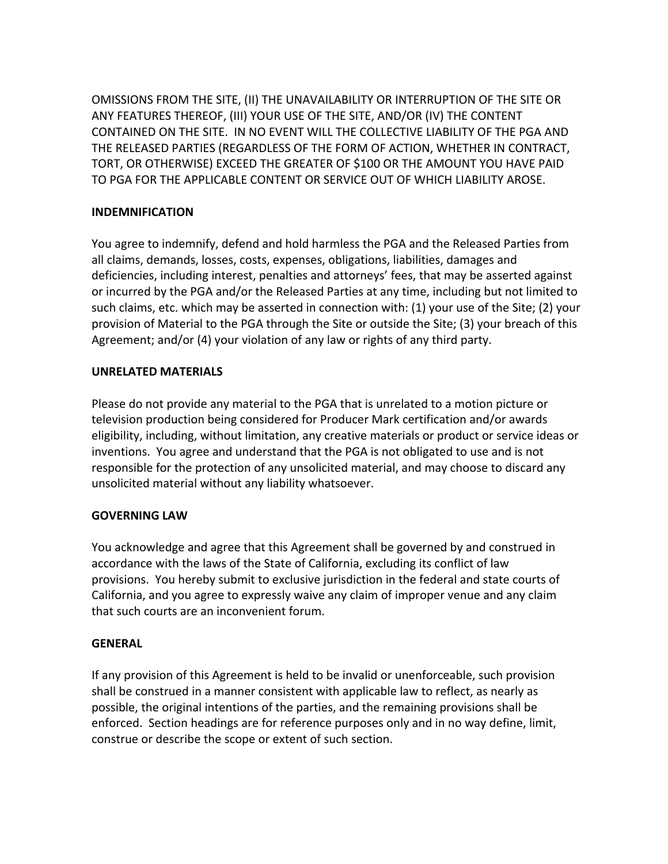OMISSIONS FROM THE SITE, (II) THE UNAVAILABILITY OR INTERRUPTION OF THE SITE OR ANY FEATURES THEREOF, (III) YOUR USE OF THE SITE, AND/OR (IV) THE CONTENT CONTAINED ON THE SITE. IN NO EVENT WILL THE COLLECTIVE LIABILITY OF THE PGA AND THE RELEASED PARTIES (REGARDLESS OF THE FORM OF ACTION, WHETHER IN CONTRACT, TORT, OR OTHERWISE) EXCEED THE GREATER OF \$100 OR THE AMOUNT YOU HAVE PAID TO PGA FOR THE APPLICABLE CONTENT OR SERVICE OUT OF WHICH LIABILITY AROSE.

## **INDEMNIFICATION**

You agree to indemnify, defend and hold harmless the PGA and the Released Parties from all claims, demands, losses, costs, expenses, obligations, liabilities, damages and deficiencies, including interest, penalties and attorneys' fees, that may be asserted against or incurred by the PGA and/or the Released Parties at any time, including but not limited to such claims, etc. which may be asserted in connection with: (1) your use of the Site; (2) your provision of Material to the PGA through the Site or outside the Site; (3) your breach of this Agreement; and/or (4) your violation of any law or rights of any third party.

#### **UNRELATED MATERIALS**

Please do not provide any material to the PGA that is unrelated to a motion picture or television production being considered for Producer Mark certification and/or awards eligibility, including, without limitation, any creative materials or product or service ideas or inventions. You agree and understand that the PGA is not obligated to use and is not responsible for the protection of any unsolicited material, and may choose to discard any unsolicited material without any liability whatsoever.

## **GOVERNING LAW**

You acknowledge and agree that this Agreement shall be governed by and construed in accordance with the laws of the State of California, excluding its conflict of law provisions. You hereby submit to exclusive jurisdiction in the federal and state courts of California, and you agree to expressly waive any claim of improper venue and any claim that such courts are an inconvenient forum.

#### **GENERAL**

If any provision of this Agreement is held to be invalid or unenforceable, such provision shall be construed in a manner consistent with applicable law to reflect, as nearly as possible, the original intentions of the parties, and the remaining provisions shall be enforced. Section headings are for reference purposes only and in no way define, limit, construe or describe the scope or extent of such section.